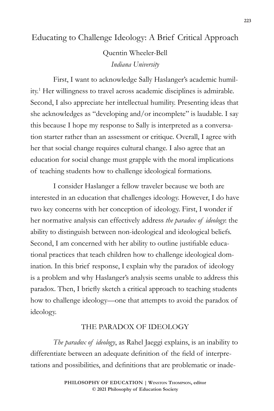## Educating to Challenge Ideology: A Brief Critical Approach

Quentin Wheeler-Bell *Indiana University*

First, I want to acknowledge Sally Haslanger's academic humility.1 Her willingness to travel across academic disciplines is admirable. Second, I also appreciate her intellectual humility. Presenting ideas that she acknowledges as "developing and/or incomplete" is laudable. I say this because I hope my response to Sally is interpreted as a conversation starter rather than an assessment or critique. Overall, I agree with her that social change requires cultural change. I also agree that an education for social change must grapple with the moral implications of teaching students how to challenge ideological formations.

I consider Haslanger a fellow traveler because we both are interested in an education that challenges ideology. However, I do have two key concerns with her conception of ideology. First, I wonder if her normative analysis can effectively address *the paradox of ideology*: the ability to distinguish between non-ideological and ideological beliefs. Second, I am concerned with her ability to outline justifiable educational practices that teach children how to challenge ideological domination. In this brief response, I explain why the paradox of ideology is a problem and why Haslanger's analysis seems unable to address this paradox. Then, I briefly sketch a critical approach to teaching students how to challenge ideology—one that attempts to avoid the paradox of ideology.

## THE PARADOX OF IDEOLOGY

*The paradox of ideology*, as Rahel Jaeggi explains, is an inability to differentiate between an adequate definition of the field of interpretations and possibilities, and definitions that are problematic or inade-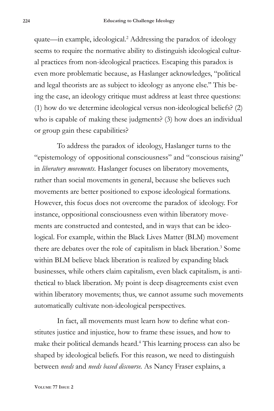quate—in example, ideological.2 Addressing the paradox of ideology seems to require the normative ability to distinguish ideological cultural practices from non-ideological practices. Escaping this paradox is even more problematic because, as Haslanger acknowledges, "political and legal theorists are as subject to ideology as anyone else.'' This being the case, an ideology critique must address at least three questions: (1) how do we determine ideological versus non-ideological beliefs? (2) who is capable of making these judgments? (3) how does an individual or group gain these capabilities?

To address the paradox of ideology, Haslanger turns to the "epistemology of oppositional consciousness" and "conscious raising" in *liberatory movements*. Haslanger focuses on liberatory movements, rather than social movements in general, because she believes such movements are better positioned to expose ideological formations. However, this focus does not overcome the paradox of ideology. For instance, oppositional consciousness even within liberatory movements are constructed and contested, and in ways that can be ideological. For example, within the Black Lives Matter (BLM) movement there are debates over the role of capitalism in black liberation.<sup>3</sup> Some within BLM believe black liberation is realized by expanding black businesses, while others claim capitalism, even black capitalism, is antithetical to black liberation. My point is deep disagreements exist even within liberatory movements; thus, we cannot assume such movements automatically cultivate non-ideological perspectives.

In fact, all movements must learn how to define what constitutes justice and injustice, how to frame these issues, and how to make their political demands heard.4 This learning process can also be shaped by ideological beliefs. For this reason, we need to distinguish between *needs* and *needs based discourse.* As Nancy Fraser explains, a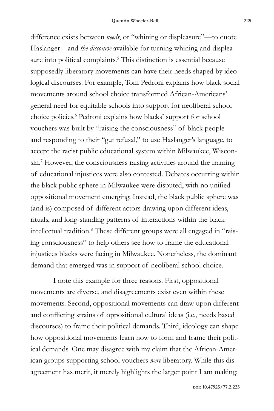difference exists between *needs*, or "whining or displeasure"—to quote Haslanger—and *the discourse* available for turning whining and displeasure into political complaints.<sup>5</sup> This distinction is essential because supposedly liberatory movements can have their needs shaped by ideological discourses. For example, Tom Pedroni explains how black social movements around school choice transformed African-Americans' general need for equitable schools into support for neoliberal school choice policies.6 Pedroni explains how blacks' support for school vouchers was built by "raising the consciousness" of black people and responding to their "gut refusal," to use Haslanger's language, to accept the racist public educational system within Milwaukee, Wisconsin.7 However, the consciousness raising activities around the framing of educational injustices were also contested. Debates occurring within the black public sphere in Milwaukee were disputed, with no unified oppositional movement emerging. Instead, the black public sphere was (and is) composed of different actors drawing upon different ideas, rituals, and long-standing patterns of interactions within the black intellectual tradition.<sup>8</sup> These different groups were all engaged in "raising consciousness" to help others see how to frame the educational injustices blacks were facing in Milwaukee. Nonetheless, the dominant demand that emerged was in support of neoliberal school choice.

I note this example for three reasons. First, oppositional movements are diverse, and disagreements exist even within these movements. Second, oppositional movements can draw upon different and conflicting strains of oppositional cultural ideas (i.e., needs based discourses) to frame their political demands. Third, ideology can shape how oppositional movements learn how to form and frame their political demands. One may disagree with my claim that the African-American groups supporting school vouchers *were* liberatory. While this disagreement has merit, it merely highlights the larger point I am making: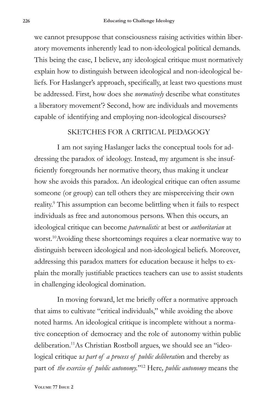we cannot presuppose that consciousness raising activities within liberatory movements inherently lead to non-ideological political demands. This being the case, I believe, any ideological critique must normatively explain how to distinguish between ideological and non-ideological beliefs. For Haslanger's approach, specifically, at least two questions must be addressed. First, how does she *normatively* describe what constitutes a liberatory movement'? Second, how are individuals and movements capable of identifying and employing non-ideological discourses?

## SKETCHES FOR A CRITICAL PEDAGOGY

I am not saying Haslanger lacks the conceptual tools for addressing the paradox of ideology. Instead, my argument is she insufficiently foregrounds her normative theory, thus making it unclear how she avoids this paradox. An ideological critique can often assume someone (or group) can tell others they are misperceiving their own reality.<sup>9</sup> This assumption can become belittling when it fails to respect individuals as free and autonomous persons. When this occurs, an ideological critique can become *paternalistic* at best or *authoritarian* at worst.10Avoiding these shortcomings requires a clear normative way to distinguish between ideological and non-ideological beliefs. Moreover, addressing this paradox matters for education because it helps to explain the morally justifiable practices teachers can use to assist students in challenging ideological domination.

In moving forward, let me briefly offer a normative approach that aims to cultivate "critical individuals," while avoiding the above noted harms. An ideological critique is incomplete without a normative conception of democracy and the role of autonomy within public deliberation.11As Christian Rostboll argues, we should see an "ideological critique a*s part of a process of public deliberatio*n and thereby as part of *the exercise of public autonomy.*"12 Here*, public autonomy* means the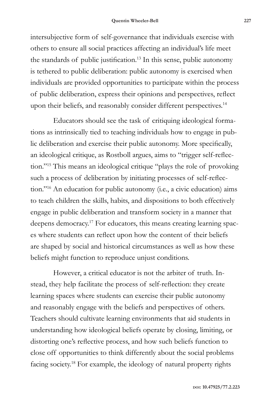intersubjective form of self-governance that individuals exercise with others to ensure all social practices affecting an individual's life meet the standards of public justification.13 In this sense, public autonomy is tethered to public deliberation: public autonomy is exercised when individuals are provided opportunities to participate within the process of public deliberation, express their opinions and perspectives, reflect upon their beliefs, and reasonably consider different perspectives.<sup>14</sup>

Educators should see the task of critiquing ideological formations as intrinsically tied to teaching individuals how to engage in public deliberation and exercise their public autonomy. More specifically, an ideological critique, as Rostboll argues, aims to "trigger self-reflection."15 This means an ideological critique "plays the role of provoking such a process of deliberation by initiating processes of self-reflection."16 An education for public autonomy (i.e., a civic education) aims to teach children the skills, habits, and dispositions to both effectively engage in public deliberation and transform society in a manner that deepens democracy.17 For educators, this means creating learning spaces where students can reflect upon how the content of their beliefs are shaped by social and historical circumstances as well as how these beliefs might function to reproduce unjust conditions.

However, a critical educator is not the arbiter of truth. Instead, they help facilitate the process of self-reflection: they create learning spaces where students can exercise their public autonomy and reasonably engage with the beliefs and perspectives of others. Teachers should cultivate learning environments that aid students in understanding how ideological beliefs operate by closing, limiting, or distorting one's reflective process, and how such beliefs function to close off opportunities to think differently about the social problems facing society.18 For example, the ideology of natural property rights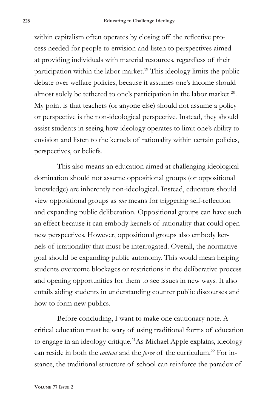within capitalism often operates by closing off the reflective process needed for people to envision and listen to perspectives aimed at providing individuals with material resources, regardless of their participation within the labor market.19 This ideology limits the public debate over welfare policies, because it assumes one's income should almost solely be tethered to one's participation in the labor market <sup>20</sup>. My point is that teachers (or anyone else) should not assume a policy or perspective is the non-ideological perspective. Instead, they should assist students in seeing how ideology operates to limit one's ability to envision and listen to the kernels of rationality within certain policies, perspectives, or beliefs.

This also means an education aimed at challenging ideological domination should not assume oppositional groups (or oppositional knowledge) are inherently non-ideological. Instead, educators should view oppositional groups as *one* means for triggering self-reflection and expanding public deliberation. Oppositional groups can have such an effect because it can embody kernels of rationality that could open new perspectives. However, oppositional groups also embody kernels of irrationality that must be interrogated. Overall, the normative goal should be expanding public autonomy. This would mean helping students overcome blockages or restrictions in the deliberative process and opening opportunities for them to see issues in new ways. It also entails aiding students in understanding counter public discourses and how to form new publics.

Before concluding, I want to make one cautionary note. A critical education must be wary of using traditional forms of education to engage in an ideology critique.<sup>21</sup>As Michael Apple explains, ideology can reside in both the *content* and the *form* of the curriculum.<sup>22</sup> For instance, the traditional structure of school can reinforce the paradox of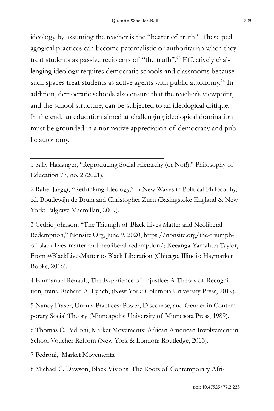ideology by assuming the teacher is the "bearer of truth." These pedagogical practices can become paternalistic or authoritarian when they treat students as passive recipients of "the truth".23 Effectively challenging ideology requires democratic schools and classrooms because such spaces treat students as active agents with public autonomy.<sup>24</sup> In addition, democratic schools also ensure that the teacher's viewpoint, and the school structure, can be subjected to an ideological critique. In the end, an education aimed at challenging ideological domination must be grounded in a normative appreciation of democracy and public autonomy.

1 Sally Haslanger, "Reproducing Social Hierarchy (or Not!)," Philosophy of Education 77, no. 2 (2021).

2 Rahel Jaeggi, "Rethinking Ideology," in New Waves in Political Philosophy, ed. Boudewijn de Bruin and Christopher Zurn (Basingstoke England & New York: Palgrave Macmillan, 2009).

3 Cedric Johnson, "The Triumph of Black Lives Matter and Neoliberal Redemption," Nonsite.Org, June 9, 2020, https://nonsite.org/the-triumphof-black-lives-matter-and-neoliberal-redemption/; Keeanga-Yamahtta Taylor, From #BlackLivesMatter to Black Liberation (Chicago, Illinois: Haymarket Books, 2016).

4 Emmanuel Renault, The Experience of Injustice: A Theory of Recognition, trans. Richard A. Lynch, (New York: Columbia University Press, 2019).

5 Nancy Fraser, Unruly Practices: Power, Discourse, and Gender in Contemporary Social Theory (Minneapolis: University of Minnesota Press, 1989).

6 Thomas C. Pedroni, Market Movements: African American Involvement in School Voucher Reform (New York & London: Routledge, 2013).

7 Pedroni, Market Movements.

8 Michael C. Dawson, Black Visions: The Roots of Contemporary Afri-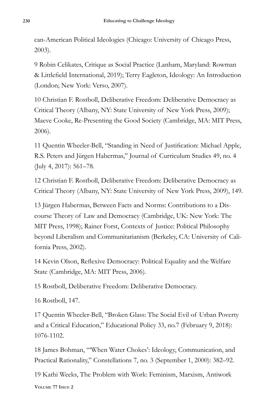can-American Political Ideologies (Chicago: University of Chicago Press, 2003).

9 Robin Celikates, Critique as Social Practice (Lanham, Maryland: Rowman & Littlefield International, 2019); Terry Eagleton, Ideology: An Introduction (London; New York: Verso, 2007).

10 Christian F. Rostboll, Deliberative Freedom: Deliberative Democracy as Critical Theory (Albany, NY: State University of New York Press, 2009); Maeve Cooke, Re-Presenting the Good Society (Cambridge, MA: MIT Press, 2006).

11 Quentin Wheeler-Bell, "Standing in Need of Justification: Michael Apple, R.S. Peters and Jürgen Habermas," Journal of Curriculum Studies 49, no. 4 (July 4, 2017): 561–78.

12 Christian F. Rostboll, Deliberative Freedom: Deliberative Democracy as Critical Theory (Albany, NY: State University of New York Press, 2009), 149.

13 Jürgen Habermas, Between Facts and Norms: Contributions to a Discourse Theory of Law and Democracy (Cambridge, UK: New York: The MIT Press, 1998); Rainer Forst, Contexts of Justice: Political Philosophy beyond Liberalism and Communitarianism (Berkeley, CA: University of California Press, 2002).

14 Kevin Olson, Reflexive Democracy: Political Equality and the Welfare State (Cambridge, MA: MIT Press, 2006).

15 Rostboll, Deliberative Freedom: Deliberative Democracy.

16 Rostboll, 147.

17 Quentin Wheeler-Bell, "Broken Glass: The Social Evil of Urban Poverty and a Critical Education," Educational Policy 33, no.7 (February 9, 2018): 1076-1102.

18 James Bohman, "'When Water Chokes': Ideology, Communication, and Practical Rationality," Constellations 7, no. 3 (September 1, 2000): 382–92.

**Volume 77 Issue 2** 19 Kathi Weeks, The Problem with Work: Feminism, Marxism, Antiwork